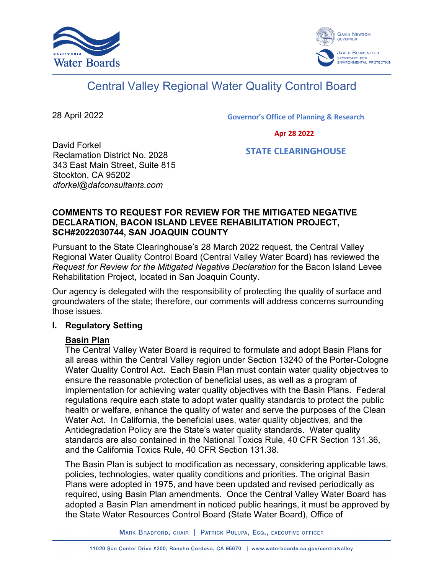



# Central Valley Regional Water Quality Control Board

28 April 2022

Governor's Office of Planning & Research

Apr 28 2022

David Forkel Reclamation District No. 2028 343 East Main Street, Suite 815 Stockton, CA 95202 *dforkel@dafconsultants.com*

STATE CLEARINGHOUSE

## **COMMENTS TO REQUEST FOR REVIEW FOR THE MITIGATED NEGATIVE DECLARATION, BACON ISLAND LEVEE REHABILITATION PROJECT, SCH#2022030744, SAN JOAQUIN COUNTY**

Pursuant to the State Clearinghouse's 28 March 2022 request, the Central Valley Regional Water Quality Control Board (Central Valley Water Board) has reviewed the *Request for Review for the Mitigated Negative Declaration* for the Bacon Island Levee Rehabilitation Project, located in San Joaquin County.

Our agency is delegated with the responsibility of protecting the quality of surface and groundwaters of the state; therefore, our comments will address concerns surrounding those issues.

# **I. Regulatory Setting**

# **Basin Plan**

The Central Valley Water Board is required to formulate and adopt Basin Plans for all areas within the Central Valley region under Section 13240 of the Porter-Cologne Water Quality Control Act. Each Basin Plan must contain water quality objectives to ensure the reasonable protection of beneficial uses, as well as a program of implementation for achieving water quality objectives with the Basin Plans. Federal regulations require each state to adopt water quality standards to protect the public health or welfare, enhance the quality of water and serve the purposes of the Clean Water Act. In California, the beneficial uses, water quality objectives, and the Antidegradation Policy are the State's water quality standards. Water quality standards are also contained in the National Toxics Rule, 40 CFR Section 131.36, and the California Toxics Rule, 40 CFR Section 131.38.

The Basin Plan is subject to modification as necessary, considering applicable laws, policies, technologies, water quality conditions and priorities. The original Basin Plans were adopted in 1975, and have been updated and revised periodically as required, using Basin Plan amendments. Once the Central Valley Water Board has adopted a Basin Plan amendment in noticed public hearings, it must be approved by the State Water Resources Control Board (State Water Board), Office of

MARK BRADFORD, CHAIR | PATRICK PULUPA, ESQ., EXECUTIVE OFFICER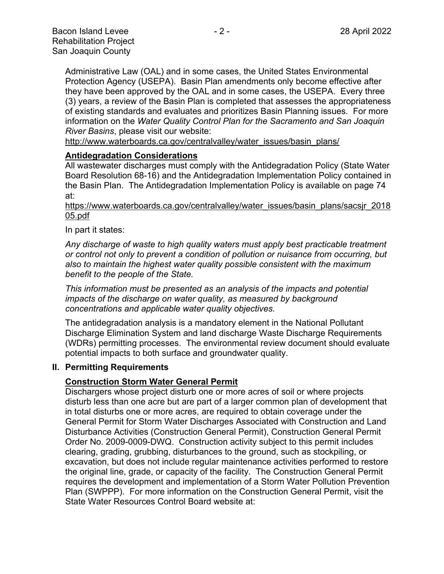Administrative Law (OAL) and in some cases, the United States Environmental Protection Agency (USEPA). Basin Plan amendments only become effective after they have been approved by the OAL and in some cases, the USEPA. Every three (3) years, a review of the Basin Plan is completed that assesses the appropriateness of existing standards and evaluates and prioritizes Basin Planning issues. For more information on the *Water Quality Control Plan for the Sacramento and San Joaquin River Basins*, please visit our website:

[http://www.waterboards.ca.gov/centralvalley/water\\_issues/basin\\_plans/](http://www.waterboards.ca.gov/centralvalley/water_issues/basin_plans/)

#### **Antidegradation Considerations**

All wastewater discharges must comply with the Antidegradation Policy (State Water Board Resolution 68-16) and the Antidegradation Implementation Policy contained in the Basin Plan. The Antidegradation Implementation Policy is available on page 74 at:

#### https://www.waterboards.ca.gov/centralvalley/water\_issues/basin\_plans/sacsjr\_2018 05.pdf

#### In part it states:

*Any discharge of waste to high quality waters must apply best practicable treatment or control not only to prevent a condition of pollution or nuisance from occurring, but also to maintain the highest water quality possible consistent with the maximum benefit to the people of the State.*

*This information must be presented as an analysis of the impacts and potential impacts of the discharge on water quality, as measured by background concentrations and applicable water quality objectives.*

The antidegradation analysis is a mandatory element in the National Pollutant Discharge Elimination System and land discharge Waste Discharge Requirements (WDRs) permitting processes. The environmental review document should evaluate potential impacts to both surface and groundwater quality.

#### **II. Permitting Requirements**

## **Construction Storm Water General Permit**

Dischargers whose project disturb one or more acres of soil or where projects disturb less than one acre but are part of a larger common plan of development that in total disturbs one or more acres, are required to obtain coverage under the General Permit for Storm Water Discharges Associated with Construction and Land Disturbance Activities (Construction General Permit), Construction General Permit Order No. 2009-0009-DWQ. Construction activity subject to this permit includes clearing, grading, grubbing, disturbances to the ground, such as stockpiling, or excavation, but does not include regular maintenance activities performed to restore the original line, grade, or capacity of the facility. The Construction General Permit requires the development and implementation of a Storm Water Pollution Prevention Plan (SWPPP). For more information on the Construction General Permit, visit the State Water Resources Control Board website at: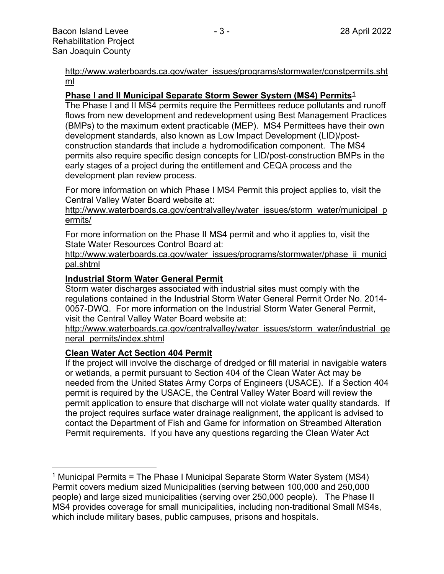[http://www.waterboards.ca.gov/water\\_issues/programs/stormwater/constpermits.sht](http://www.waterboards.ca.gov/water_issues/programs/stormwater/constpermits.shtml) [ml](http://www.waterboards.ca.gov/water_issues/programs/stormwater/constpermits.shtml)

## **Phase I and II Municipal Separate Storm Sewer System (MS4) Permits[1](#page-2-0)**

The Phase I and II MS4 permits require the Permittees reduce pollutants and runoff flows from new development and redevelopment using Best Management Practices (BMPs) to the maximum extent practicable (MEP). MS4 Permittees have their own development standards, also known as Low Impact Development (LID)/postconstruction standards that include a hydromodification component. The MS4 permits also require specific design concepts for LID/post-construction BMPs in the early stages of a project during the entitlement and CEQA process and the development plan review process.

For more information on which Phase I MS4 Permit this project applies to, visit the Central Valley Water Board website at:

http://www.waterboards.ca.gov/centralvalley/water\_issues/storm\_water/municipal\_p ermits/

For more information on the Phase II MS4 permit and who it applies to, visit the State Water Resources Control Board at:

http://www.waterboards.ca.gov/water\_issues/programs/stormwater/phase\_ii\_munici pal.shtml

## **Industrial Storm Water General Permit**

Storm water discharges associated with industrial sites must comply with the regulations contained in the Industrial Storm Water General Permit Order No. 2014- 0057-DWQ. For more information on the Industrial Storm Water General Permit, visit the Central Valley Water Board website at:

http://www.waterboards.ca.gov/centralvalley/water\_issues/storm\_water/industrial\_ge neral\_permits/index.shtml

## **Clean Water Act Section 404 Permit**

If the project will involve the discharge of dredged or fill material in navigable waters or wetlands, a permit pursuant to Section 404 of the Clean Water Act may be needed from the United States Army Corps of Engineers (USACE). If a Section 404 permit is required by the USACE, the Central Valley Water Board will review the permit application to ensure that discharge will not violate water quality standards. If the project requires surface water drainage realignment, the applicant is advised to contact the Department of Fish and Game for information on Streambed Alteration Permit requirements. If you have any questions regarding the Clean Water Act

<span id="page-2-0"></span><sup>&</sup>lt;sup>1</sup> Municipal Permits = The Phase I Municipal Separate Storm Water System (MS4) Permit covers medium sized Municipalities (serving between 100,000 and 250,000 people) and large sized municipalities (serving over 250,000 people). The Phase II MS4 provides coverage for small municipalities, including non-traditional Small MS4s, which include military bases, public campuses, prisons and hospitals.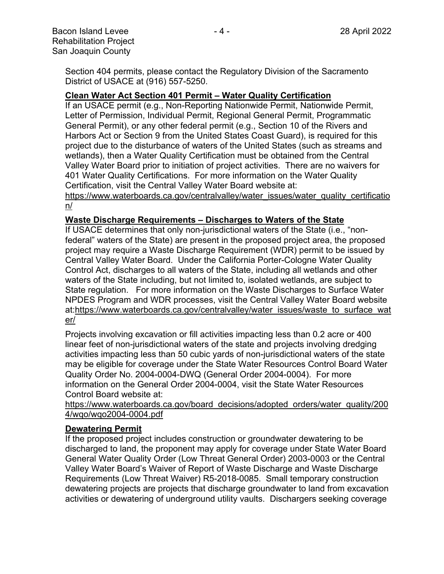Section 404 permits, please contact the Regulatory Division of the Sacramento District of USACE at (916) 557-5250.

## **Clean Water Act Section 401 Permit – Water Quality Certification**

If an USACE permit (e.g., Non-Reporting Nationwide Permit, Nationwide Permit, Letter of Permission, Individual Permit, Regional General Permit, Programmatic General Permit), or any other federal permit (e.g., Section 10 of the Rivers and Harbors Act or Section 9 from the United States Coast Guard), is required for this project due to the disturbance of waters of the United States (such as streams and wetlands), then a Water Quality Certification must be obtained from the Central Valley Water Board prior to initiation of project activities. There are no waivers for 401 Water Quality Certifications. For more information on the Water Quality Certification, visit the Central Valley Water Board website at:

https://www.waterboards.ca.gov/centralvalley/water\_issues/water\_quality\_certificatio n/

## **Waste Discharge Requirements – Discharges to Waters of the State**

If USACE determines that only non-jurisdictional waters of the State (i.e., "nonfederal" waters of the State) are present in the proposed project area, the proposed project may require a Waste Discharge Requirement (WDR) permit to be issued by Central Valley Water Board. Under the California Porter-Cologne Water Quality Control Act, discharges to all waters of the State, including all wetlands and other waters of the State including, but not limited to, isolated wetlands, are subject to State regulation. For more information on the Waste Discharges to Surface Water NPDES Program and WDR processes, visit the Central Valley Water Board website at:https://www.waterboards.ca.gov/centralvalley/water\_issues/waste\_to\_surface\_wat er/

Projects involving excavation or fill activities impacting less than 0.2 acre or 400 linear feet of non-jurisdictional waters of the state and projects involving dredging activities impacting less than 50 cubic yards of non-jurisdictional waters of the state may be eligible for coverage under the State Water Resources Control Board Water Quality Order No. 2004-0004-DWQ (General Order 2004-0004). For more information on the General Order 2004-0004, visit the State Water Resources Control Board website at:

https://www.waterboards.ca.gov/board\_decisions/adopted\_orders/water\_quality/200 4/wqo/wqo2004-0004.pdf

## **Dewatering Permit**

If the proposed project includes construction or groundwater dewatering to be discharged to land, the proponent may apply for coverage under State Water Board General Water Quality Order (Low Threat General Order) 2003-0003 or the Central Valley Water Board's Waiver of Report of Waste Discharge and Waste Discharge Requirements (Low Threat Waiver) R5-2018-0085. Small temporary construction dewatering projects are projects that discharge groundwater to land from excavation activities or dewatering of underground utility vaults. Dischargers seeking coverage